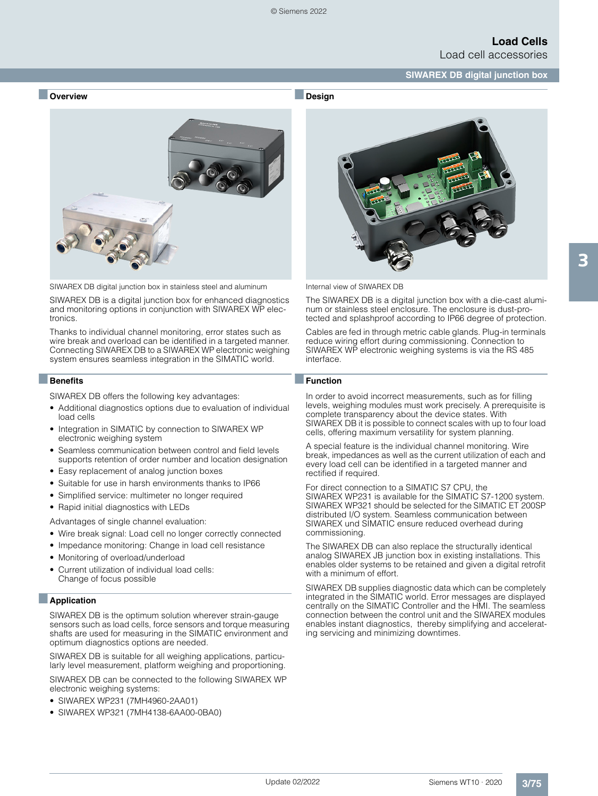

■**Design**



SIWAREX DB digital junction box in stainless steel and aluminum

SIWAREX DB is a digital junction box for enhanced diagnostics and monitoring options in conjunction with SIWAREX WP electronics.

Thanks to individual channel monitoring, error states such as wire break and overload can be identified in a targeted manner. Connecting SIWAREX DB to a SIWAREX WP electronic weighing system ensures seamless integration in the SIMATIC world.

### ■**Benefits**

SIWAREX DB offers the following key advantages:

- Additional diagnostics options due to evaluation of individual load cells
- Integration in SIMATIC by connection to SIWAREX WP electronic weighing system
- Seamless communication between control and field levels supports retention of order number and location designation
- Easy replacement of analog junction boxes
- Suitable for use in harsh environments thanks to IP66
- Simplified service: multimeter no longer required
- Rapid initial diagnostics with LEDs

Advantages of single channel evaluation:

- Wire break signal: Load cell no longer correctly connected
- Impedance monitoring: Change in load cell resistance
- Monitoring of overload/underload
- Current utilization of individual load cells: Change of focus possible

### ■**Application**

SIWAREX DB is the optimum solution wherever strain-gauge sensors such as load cells, force sensors and torque measuring shafts are used for measuring in the SIMATIC environment and optimum diagnostics options are needed.

SIWAREX DB is suitable for all weighing applications, particularly level measurement, platform weighing and proportioning.

SIWAREX DB can be connected to the following SIWAREX WP electronic weighing systems:

- SIWAREX WP231 (7MH4960-2AA01)
- SIWAREX WP321 (7MH4138-6AA00-0BA0)



Internal view of SIWAREX DB

The SIWAREX DB is a digital junction box with a die-cast aluminum or stainless steel enclosure. The enclosure is dust-protected and splashproof according to IP66 degree of protection.

Cables are fed in through metric cable glands. Plug-in terminals reduce wiring effort during commissioning. Connection to SIWAREX WP electronic weighing systems is via the RS 485 interface.

### ■**Function**

In order to avoid incorrect measurements, such as for filling levels, weighing modules must work precisely. A prerequisite is complete transparency about the device states. With SIWAREX DB it is possible to connect scales with up to four load cells, offering maximum versatility for system planning.

A special feature is the individual channel monitoring. Wire break, impedances as well as the current utilization of each and every load cell can be identified in a targeted manner and rectified if required.

For direct connection to a SIMATIC S7 CPU, the SIWAREX WP231 is available for the SIMATIC S7-1200 system. SIWAREX WP321 should be selected for the SIMATIC ET 200SP distributed I/O system. Seamless communication between SIWAREX und SIMATIC ensure reduced overhead during commissioning.

The SIWAREX DB can also replace the structurally identical analog SIWAREX JB junction box in existing installations. This enables older systems to be retained and given a digital retrofit with a minimum of effort.

SIWAREX DB supplies diagnostic data which can be completely integrated in the SIMATIC world. Error messages are displayed centrally on the SIMATIC Controller and the HMI. The seamless connection between the control unit and the SIWAREX modules enables instant diagnostics, thereby simplifying and accelerating servicing and minimizing downtimes.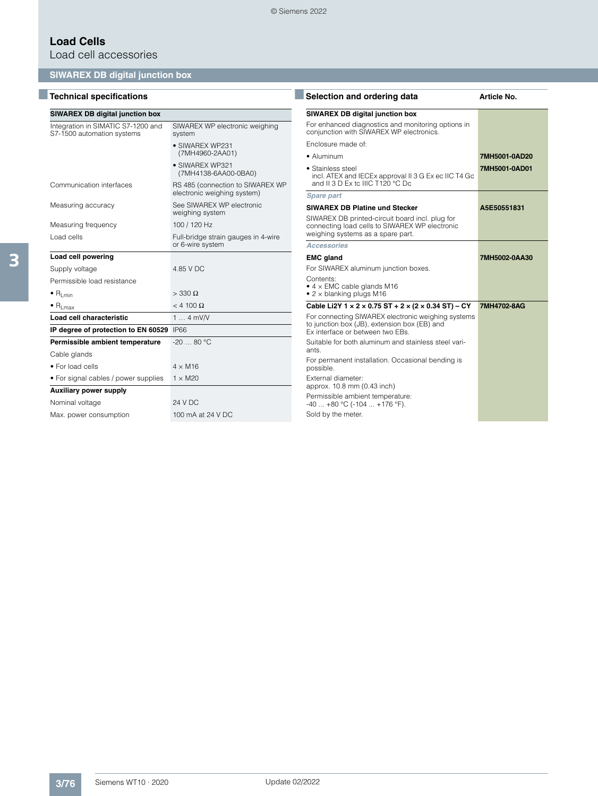# **Load Cells**

Load cell accessories

## **SIWAREX DB digital junction box**

# ■ Technical specifications **■ Selection and ordering data Article No. 4**

| <b>SIWAREX DB digital junction box</b>                           |                                                                 |
|------------------------------------------------------------------|-----------------------------------------------------------------|
| Integration in SIMATIC S7-1200 and<br>S7-1500 automation systems | SIWAREX WP electronic weighing<br>system                        |
|                                                                  | • SIWAREX WP231<br>(7MH4960-2AA01)                              |
|                                                                  | • SIWAREX WP321<br>(7MH4138-6AA00-0BA0)                         |
| Communication interfaces                                         | RS 485 (connection to SIWAREX WP<br>electronic weighing system) |
| Measuring accuracy                                               | See SIWAREX WP electronic<br>weighing system                    |
| Measuring frequency                                              | 100 / 120 Hz                                                    |
| Load cells                                                       | Full-bridge strain gauges in 4-wire<br>or 6-wire system         |
| Load cell powering                                               |                                                                 |
| Supply voltage                                                   | 4.85 V DC                                                       |
| Permissible load resistance                                      |                                                                 |
| $\bullet$ R <sub>I min</sub>                                     | $>$ 330 $\Omega$                                                |
| $\bullet$ R <sub>Lmax</sub>                                      | $< 4100 \Omega$                                                 |
| Load cell characteristic                                         | $14$ mV/V                                                       |
| IP degree of protection to EN 60529                              | <b>IP66</b>                                                     |
| Permissible ambient temperature                                  | $-2080 °C$                                                      |
| Cable glands                                                     |                                                                 |
| • For load cells                                                 | $4 \times M16$                                                  |
| • For signal cables / power supplies                             | $1 \times M20$                                                  |
| <b>Auxiliary power supply</b>                                    |                                                                 |
| Nominal voltage                                                  | <b>24 V DC</b>                                                  |
| Max. power consumption                                           | 100 mA at 24 V DC                                               |

| Selection and ordering data                                                                                                            | Article No.   |
|----------------------------------------------------------------------------------------------------------------------------------------|---------------|
| <b>SIWAREX DB digital junction box</b>                                                                                                 |               |
| For enhanced diagnostics and monitoring options in<br>conjunction with SIWAREX WP electronics.                                         |               |
| Enclosure made of:                                                                                                                     |               |
| • Aluminum                                                                                                                             | 7MH5001-0AD20 |
| • Stainless steel<br>incl. ATEX and IECEx approval II 3 G Ex ec IIC T4 Gc<br>and II 3 D Ex to IIIC T120 °C Dc                          | 7MH5001-0AD01 |
| <b>Spare part</b>                                                                                                                      |               |
| <b>SIWAREX DB Platine und Stecker</b>                                                                                                  | A5E50551831   |
| SIWAREX DB printed-circuit board incl. plug for<br>connecting load cells to SIWAREX WP electronic<br>weighing systems as a spare part. |               |
| Accessories                                                                                                                            |               |
| <b>EMC gland</b>                                                                                                                       | 7MH5002-0AA30 |
| For SIWAREX aluminum junction boxes.                                                                                                   |               |
| Contents:<br>$\bullet$ 4 $\times$ EMC cable glands M16<br>$\bullet$ 2 $\times$ blanking plugs M16                                      |               |
| Cable Li2Y $1 \times 2 \times 0.75$ ST + $2 \times (2 \times 0.34$ ST) - CY                                                            | 7MH4702-8AG   |
| For connecting SIWAREX electronic weighing systems<br>to junction box (JB), extension box (EB) and<br>Ex interface or between two EBs. |               |
| Suitable for both aluminum and stainless steel vari-<br>ants.                                                                          |               |
| For permanent installation. Occasional bending is<br>possible.                                                                         |               |
| External diameter:<br>approx. 10.8 mm (0.43 inch)                                                                                      |               |
| Permissible ambient temperature:<br>$-40$ $+80$ °C ( $-104$ $+176$ °F).                                                                |               |
| Sold by the meter.                                                                                                                     |               |